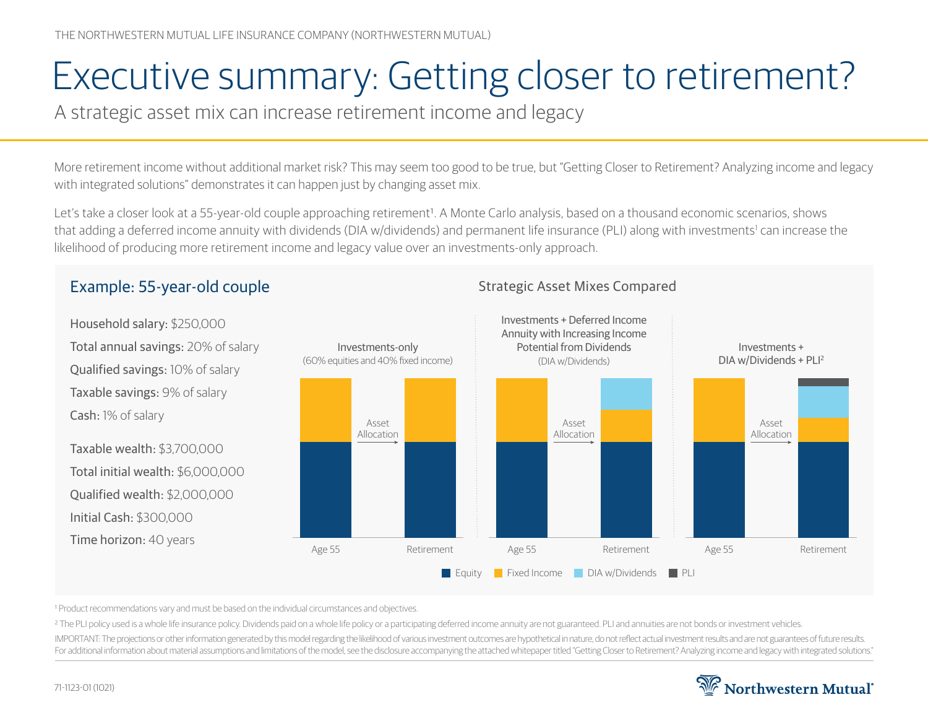# Executive summary: Getting closer to retirement?

A strategic asset mix can increase retirement income and legacy

More retirement income without additional market risk? This may seem too good to be true, but "Getting Closer to Retirement? Analyzing income and legacy with integrated solutions" demonstrates it can happen just by changing asset mix.

Let's take a closer look at a 55-year-old couple approaching retirement<sup>1</sup>. A Monte Carlo analysis, based on a thousand economic scenarios, shows that adding a deferred income annuity with dividends (DIA w/dividends) and permanent life insurance (PLI) along with investments<sup>1</sup> can increase the likelihood of producing more retirement income and legacy value over an investments-only approach.

#### Household salary: \$250,000 Investments-only (60% equities and 40% fixed income) Investments + Deferred Income Annuity with Increasing Income Potential from Dividends (DIA w/Dividends) Investments + DIA w/Dividends + PLI2 Age 55 Retirement Asset Allocation Age 55 Retirement Asset Allocation Age 55 Retirement Asset Allocation **Equity Fixed Income DIA w/Dividends PLI**

### Example: 55-year-old couple Strategic Asset Mixes Compared

Total annual savings: 20% of salary Qualified savings: 10% of salary Taxable savings: 9% of salary Cash: 1% of salary

Taxable wealth: \$3,700,000 Total initial wealth: \$6,000,000 Qualified wealth: \$2,000,000 Initial Cash: \$300,000 Time horizon: 40 years

1 Product recommendations vary and must be based on the individual circumstances and objectives.

<sup>2</sup> The PLI policy used is a whole life insurance policy. Dividends paid on a whole life policy or a participating deferred income annuity are not guaranteed. PLI and annuities are not bonds or investment vehicles.

IMPORTANT: The projections or other information generated by this model regarding the likelihood of various investment outcomes are hypothetical in nature, do not reflect actual investment results and are not guarantees of For additional information about material assumptions and limitations of the model, see the disclosure accompanying the attached whitepaper titled "Getting Closer to Retirement? Analyzing income and legacy with integrated

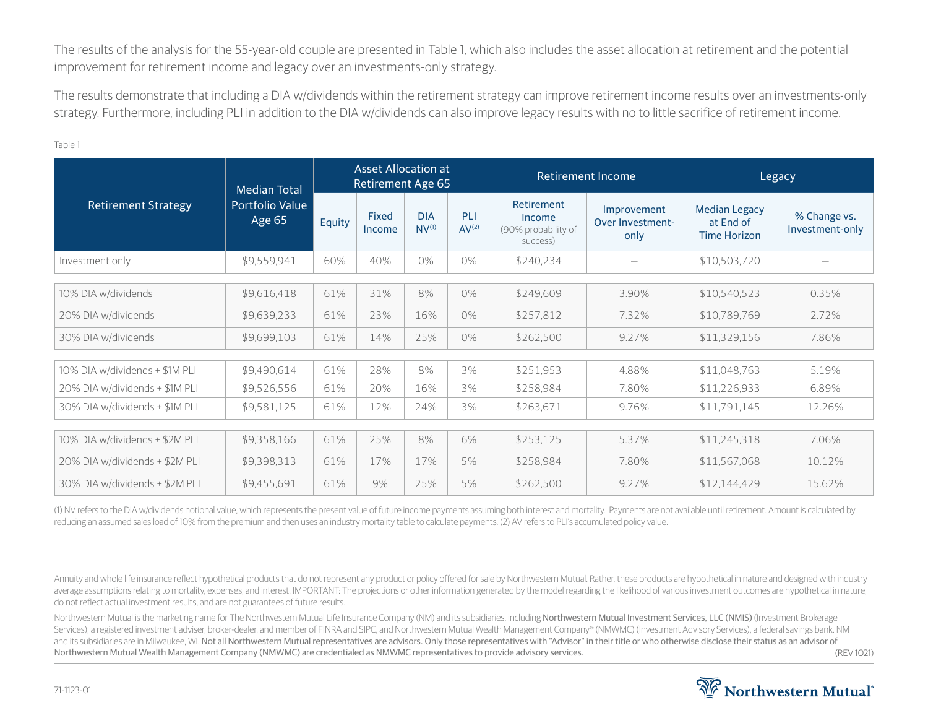The results of the analysis for the 55-year-old couple are presented in Table 1, which also includes the asset allocation at retirement and the potential improvement for retirement income and legacy over an investments-only strategy.

The results demonstrate that including a DIA w/dividends within the retirement strategy can improve retirement income results over an investments-only strategy. Furthermore, including PLI in addition to the DIA w/dividends can also improve legacy results with no to little sacrifice of retirement income.

| <b>Retirement Strategy</b>     | <b>Median Total</b><br>Portfolio Value<br>Age 65' | <b>Asset Allocation at</b><br><b>Retirement Age 65</b> |                 |                          |                          |                                                         | Retirement Income                       | Legacy                                                   |                                 |
|--------------------------------|---------------------------------------------------|--------------------------------------------------------|-----------------|--------------------------|--------------------------|---------------------------------------------------------|-----------------------------------------|----------------------------------------------------------|---------------------------------|
|                                |                                                   | Equity                                                 | Fixed<br>Income | <b>DIA</b><br>$NV^{(1)}$ | PLI<br>AV <sup>(2)</sup> | Retirement<br>Income<br>(90% probability of<br>success) | Improvement<br>Over Investment-<br>only | <b>Median Legacy</b><br>at End of<br><b>Time Horizon</b> | % Change vs.<br>Investment-only |
| Investment only                | \$9,559,941                                       | 60%                                                    | 40%             | $0\%$                    | $0\%$                    | \$240,234                                               |                                         | \$10,503,720                                             |                                 |
| 10% DIA w/dividends            | \$9,616,418                                       | 61%                                                    | 31%             | 8%                       | 0%                       | \$249,609                                               | 3.90%                                   | \$10,540,523                                             | 0.35%                           |
| 20% DIA w/dividends            | \$9,639,233                                       | 61%                                                    | 23%             | 16%                      | $0\%$                    | \$257,812                                               | 7.32%                                   | \$10,789,769                                             | 2.72%                           |
| 30% DIA w/dividends            | \$9,699,103                                       | 61%                                                    | 14%             | 25%                      | 0%                       | \$262,500                                               | 9.27%                                   | \$11,329,156                                             | 7.86%                           |
| 10% DIA w/dividends + \$1M PLI | \$9,490,614                                       | 61%                                                    | 28%             | 8%                       | 3%                       | \$251,953                                               | 4.88%                                   | \$11,048,763                                             | 5.19%                           |
| 20% DIA w/dividends + \$1M PLI | \$9,526,556                                       | 61%                                                    | 20%             | 16%                      | 3%                       | \$258,984                                               | 7.80%                                   | \$11,226,933                                             | 6.89%                           |
| 30% DIA w/dividends + \$1M PLI | \$9,581,125                                       | 61%                                                    | 12%             | 24%                      | 3%                       | \$263,671                                               | 9.76%                                   | \$11,791,145                                             | 12.26%                          |
| 10% DIA w/dividends + \$2M PLI | \$9,358,166                                       | 61%                                                    | 25%             | 8%                       | 6%                       | \$253,125                                               | 5.37%                                   | \$11,245,318                                             | 7.06%                           |
| 20% DIA w/dividends + \$2M PLI | \$9,398,313                                       | 61%                                                    | 17%             | 17%                      | 5%                       | \$258,984                                               | 7.80%                                   | \$11,567,068                                             | 10.12%                          |
| 30% DIA w/dividends + \$2M PLI | \$9,455,691                                       | 61%                                                    | 9%              | 25%                      | 5%                       | \$262,500                                               | 9.27%                                   | \$12,144,429                                             | 15.62%                          |

(1) NV refers to the DIA w/dividends notional value, which represents the present value of future income payments assuming both interest and mortality. Payments are not available until retirement. Amount is calculated by reducing an assumed sales load of 10% from the premium and then uses an industry mortality table to calculate payments. (2) AV refers to PLI's accumulated policy value.

Annuity and whole life insurance reflect hypothetical products that do not represent any product or policy offered for sale by Northwestern Mutual. Rather, these products are hypothetical in nature and designed with indust average assumptions relating to mortality, expenses, and interest. IMPORTANT: The projections or other information generated by the model regarding the likelihood of various investment outcomes are hypothetical in nature, do not reflect actual investment results, and are not guarantees of future results.

(REV 1021) Northwestern Mutual is the marketing name for The Northwestern Mutual Life Insurance Company (NM) and its subsidiaries, including Northwestern Mutual Investment Services, LLC (NMIS) (Investment Brokerage Services), a registered investment adviser, broker-dealer, and member of FINRA and SIPC, and Northwestern Mutual Wealth Management Company® (NMWMC) (Investment Advisory Services), a federal savings bank. NM and its subsidiaries are in Milwaukee, WI. Not all Northwestern Mutual representatives are advisors. Only those representatives with "Advisor" in their title or who otherwise disclose their status as an advisor of Northwestern Mutual Wealth Management Company (NMWMC) are credentialed as NMWMC representatives to provide advisory services.

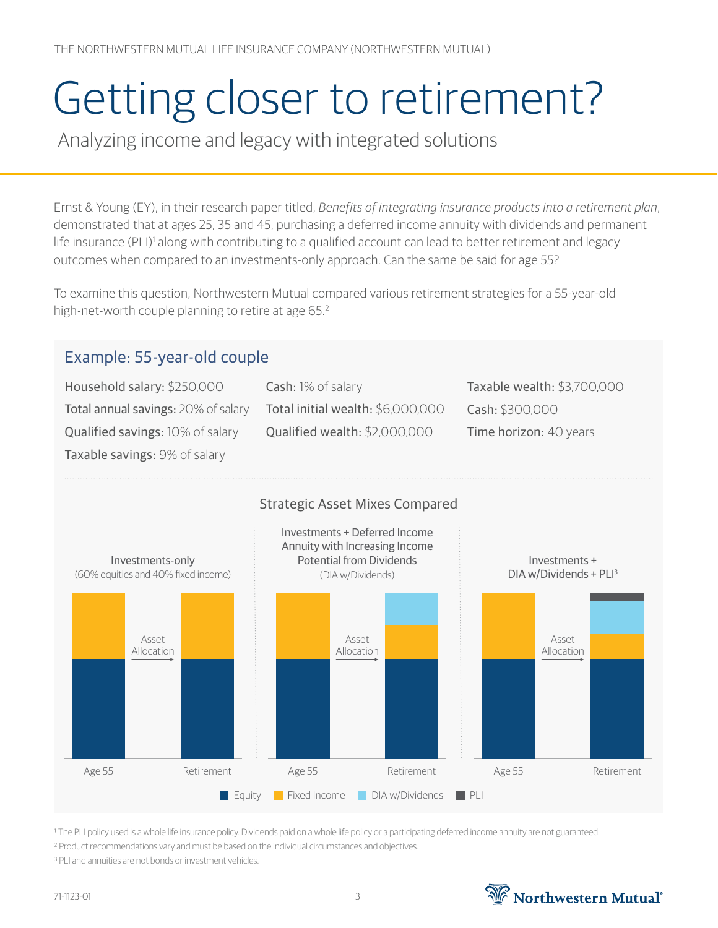# Getting closer to retirement?

Analyzing income and legacy with integrated solutions

Ernst & Young (EY), in their research paper titled, *[Benefits of integrating insurance products into a retirement plan](https://www.ey.com/en_us/insurance/how-life-insurers-can-provide-differentiated-retirement-benefits)*, demonstrated that at ages 25, 35 and 45, purchasing a deferred income annuity with dividends and permanent life insurance (PLI)<sup>1</sup> along with contributing to a qualified account can lead to better retirement and legacy outcomes when compared to an investments-only approach. Can the same be said for age 55?

To examine this question, Northwestern Mutual compared various retirement strategies for a 55-year-old high-net-worth couple planning to retire at age 65.<sup>2</sup>

## Example: 55-year-old couple

Household salary: \$250,000 Total annual savings: 20% of salary Qualified savings: 10% of salary Taxable savings: 9% of salary

Cash: 1% of salary Total initial wealth: \$6,000,000 Qualified wealth: \$2,000,000

Taxable wealth: \$3,700,000 Cash: \$300,000 Time horizon: 40 years



1 The PLI policy used is a whole life insurance policy. Dividends paid on a whole life policy or a participating deferred income annuity are not guaranteed. <sup>2</sup> Product recommendations vary and must be based on the individual circumstances and objectives.

<sup>3</sup> PLI and annuities are not bonds or investment vehicles.

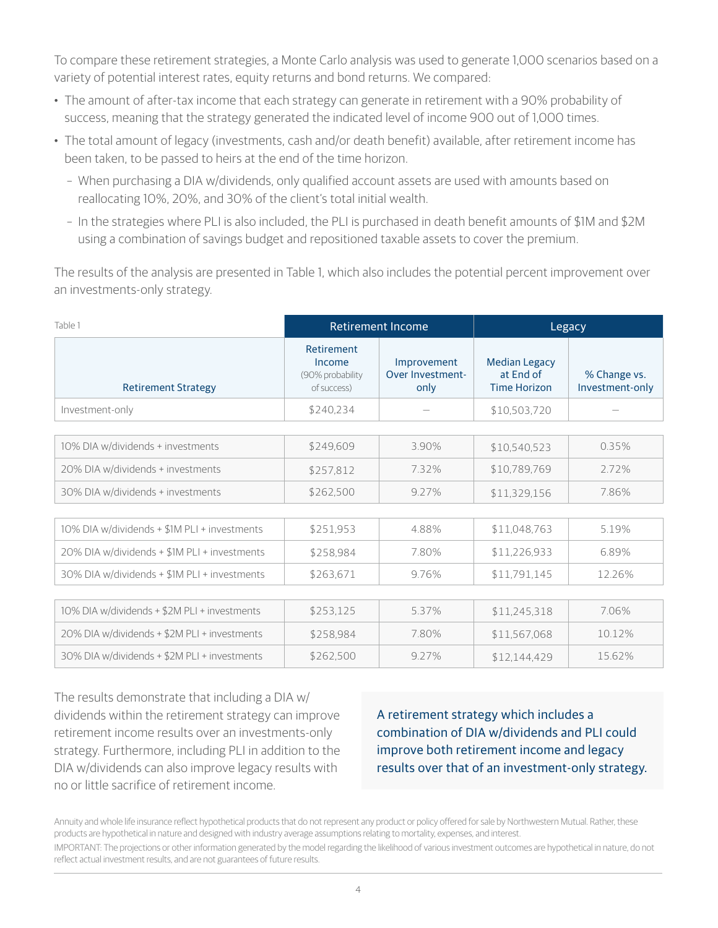To compare these retirement strategies, a Monte Carlo analysis was used to generate 1,000 scenarios based on a variety of potential interest rates, equity returns and bond returns. We compared:

- The amount of after-tax income that each strategy can generate in retirement with a 90% probability of success, meaning that the strategy generated the indicated level of income 900 out of 1,000 times.
- The total amount of legacy (investments, cash and/or death benefit) available, after retirement income has been taken, to be passed to heirs at the end of the time horizon.
	- When purchasing a DIA w/dividends, only qualified account assets are used with amounts based on reallocating 10%, 20%, and 30% of the client's total initial wealth.
	- In the strategies where PLI is also included, the PLI is purchased in death benefit amounts of \$1M and \$2M using a combination of savings budget and repositioned taxable assets to cover the premium.

The results of the analysis are presented in Table 1, which also includes the potential percent improvement over an investments-only strategy.

| Table 1                                      |                                                         | <b>Retirement Income</b>                | Legacy                                                   |                                 |  |
|----------------------------------------------|---------------------------------------------------------|-----------------------------------------|----------------------------------------------------------|---------------------------------|--|
| <b>Retirement Strategy</b>                   | Retirement<br>Income<br>(90% probability<br>of success) | Improvement<br>Over Investment-<br>only | <b>Median Legacy</b><br>at End of<br><b>Time Horizon</b> | % Change vs.<br>Investment-only |  |
| Investment-only                              | \$240,234                                               |                                         | \$10,503,720                                             |                                 |  |
|                                              |                                                         |                                         |                                                          |                                 |  |
| 10% DIA w/dividends + investments            | \$249,609                                               | 3.90%                                   | \$10,540,523                                             | 0.35%                           |  |
| 20% DIA w/dividends + investments            | \$257,812                                               | 7.32%                                   | \$10,789,769                                             | 2.72%                           |  |
| 30% DIA w/dividends + investments            | \$262,500                                               | 9.27%                                   | \$11,329,156                                             | 7.86%                           |  |
|                                              |                                                         |                                         |                                                          |                                 |  |
| 10% DIA w/dividends + \$1M PLI + investments | \$251,953                                               | 4.88%                                   | \$11,048,763                                             | 5.19%                           |  |
| 20% DIA w/dividends + \$1M PLI + investments | \$258,984                                               | 7.80%                                   | \$11,226,933                                             | 6.89%                           |  |
| 30% DIA w/dividends + \$1M PLI + investments | \$263,671                                               | 9.76%                                   | \$11,791,145                                             | 12.26%                          |  |
|                                              |                                                         |                                         |                                                          |                                 |  |
| 10% DIA w/dividends + \$2M PLI + investments | \$253,125                                               | 5.37%                                   | \$11,245,318                                             | 7.06%                           |  |
| 20% DIA w/dividends + \$2M PLI + investments | \$258,984                                               | 7.80%                                   | \$11,567,068                                             | 10.12%                          |  |
| 30% DIA w/dividends + \$2M PLI + investments | \$262,500                                               | 9.27%                                   | \$12,144,429                                             | 15.62%                          |  |

The results demonstrate that including a DIA w/ dividends within the retirement strategy can improve retirement income results over an investments-only strategy. Furthermore, including PLI in addition to the DIA w/dividends can also improve legacy results with no or little sacrifice of retirement income.

A retirement strategy which includes a combination of DIA w/dividends and PLI could improve both retirement income and legacy results over that of an investment-only strategy.

Annuity and whole life insurance reflect hypothetical products that do not represent any product or policy offered for sale by Northwestern Mutual. Rather, these products are hypothetical in nature and designed with industry average assumptions relating to mortality, expenses, and interest.

IMPORTANT: The projections or other information generated by the model regarding the likelihood of various investment outcomes are hypothetical in nature, do not reflect actual investment results, and are not guarantees of future results.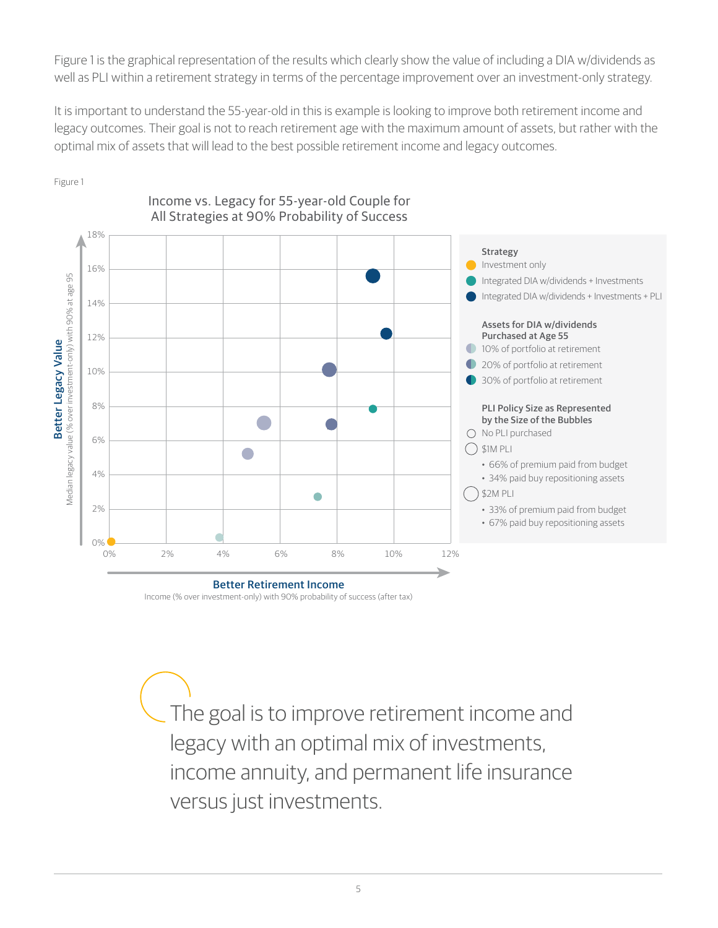Figure 1 is the graphical representation of the results which clearly show the value of including a DIA w/dividends as well as PLI within a retirement strategy in terms of the percentage improvement over an investment-only strategy.

It is important to understand the 55-year-old in this is example is looking to improve both retirement income and legacy outcomes. Their goal is not to reach retirement age with the maximum amount of assets, but rather with the optimal mix of assets that will lead to the best possible retirement income and legacy outcomes.



Income vs. Legacy for 55-year-old Couple for

Figure 1

All Strategies at 90% Probability of Success

The goal is to improve retirement income and legacy with an optimal mix of investments, income annuity, and permanent life insurance versus just investments.

Income (% over investment-only) with 90% probability of success (after tax)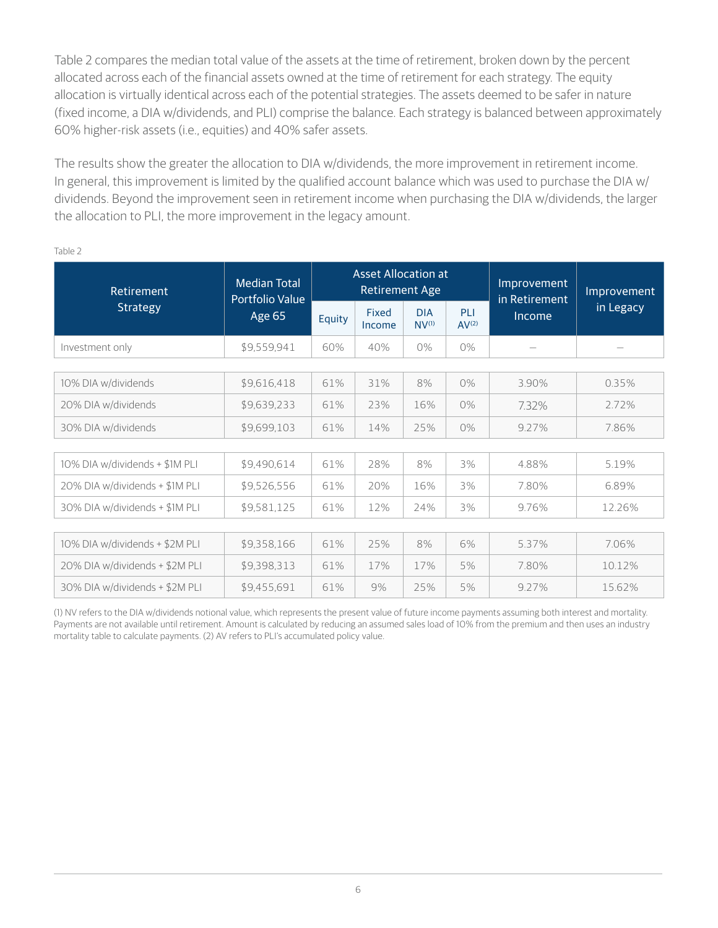Table 2 compares the median total value of the assets at the time of retirement, broken down by the percent allocated across each of the financial assets owned at the time of retirement for each strategy. The equity allocation is virtually identical across each of the potential strategies. The assets deemed to be safer in nature (fixed income, a DIA w/dividends, and PLI) comprise the balance. Each strategy is balanced between approximately 60% higher-risk assets (i.e., equities) and 40% safer assets.

The results show the greater the allocation to DIA w/dividends, the more improvement in retirement income. In general, this improvement is limited by the qualified account balance which was used to purchase the DIA w/ dividends. Beyond the improvement seen in retirement income when purchasing the DIA w/dividends, the larger the allocation to PLI, the more improvement in the legacy amount.

| Retirement                     | <b>Median Total</b><br>Portfolio Value |        | <b>Asset Allocation at</b><br><b>Retirement Age</b> |                          |                          | Improvement<br>in Retirement | Improvement<br>in Legacy |  |
|--------------------------------|----------------------------------------|--------|-----------------------------------------------------|--------------------------|--------------------------|------------------------------|--------------------------|--|
| <b>Strategy</b>                | <b>Age 65</b>                          | Equity | Fixed<br>Income                                     | <b>DIA</b><br>$NV^{(1)}$ | PLI<br>AV <sup>(2)</sup> | Income                       |                          |  |
| Investment only                | \$9,559,941                            | 60%    | 40%                                                 | 0%                       | 0%                       |                              |                          |  |
|                                |                                        |        |                                                     |                          |                          |                              |                          |  |
| 10% DIA w/dividends            | \$9,616,418                            | 61%    | 31%                                                 | 8%                       | $0\%$                    | 3.90%                        | 0.35%                    |  |
| 20% DIA w/dividends            | \$9,639,233                            | 61%    | 23%                                                 | 16%                      | 0%                       | 7.32%                        | 2.72%                    |  |
| 30% DIA w/dividends            | \$9,699,103                            | 61%    | 25%<br>14%<br>$0\%$                                 |                          | 9.27%                    | 7.86%                        |                          |  |
|                                |                                        |        |                                                     |                          |                          |                              |                          |  |
| 10% DIA w/dividends + \$1M PLI | \$9,490,614                            | 61%    | 28%                                                 | 8%                       | 3%                       | 4.88%                        | 5.19%                    |  |
| 20% DIA w/dividends + \$1M PLI | \$9,526,556                            | 61%    | 20%                                                 | 16%                      | 3%                       | 7.80%                        | 6.89%                    |  |
| 30% DIA w/dividends + \$1M PLI | \$9,581,125                            | 61%    | 12%                                                 | 24%                      | 3%                       | 9.76%                        | 12.26%                   |  |
|                                |                                        |        |                                                     |                          |                          |                              |                          |  |
| 10% DIA w/dividends + \$2M PLI | \$9,358,166                            | 61%    | 25%                                                 | 8%                       | 6%                       | 5.37%                        | 7.06%                    |  |
| 20% DIA w/dividends + \$2M PLI | \$9,398,313                            | 61%    | 17%                                                 | 17%                      | 5%                       | 7.80%                        | 10.12%                   |  |
| 30% DIA w/dividends + \$2M PLI | \$9,455,691                            | 61%    | 9%                                                  | 25%                      | 5%                       | 9.27%                        | 15.62%                   |  |

Table 2

(1) NV refers to the DIA w/dividends notional value, which represents the present value of future income payments assuming both interest and mortality. Payments are not available until retirement. Amount is calculated by reducing an assumed sales load of 10% from the premium and then uses an industry mortality table to calculate payments. (2) AV refers to PLI's accumulated policy value.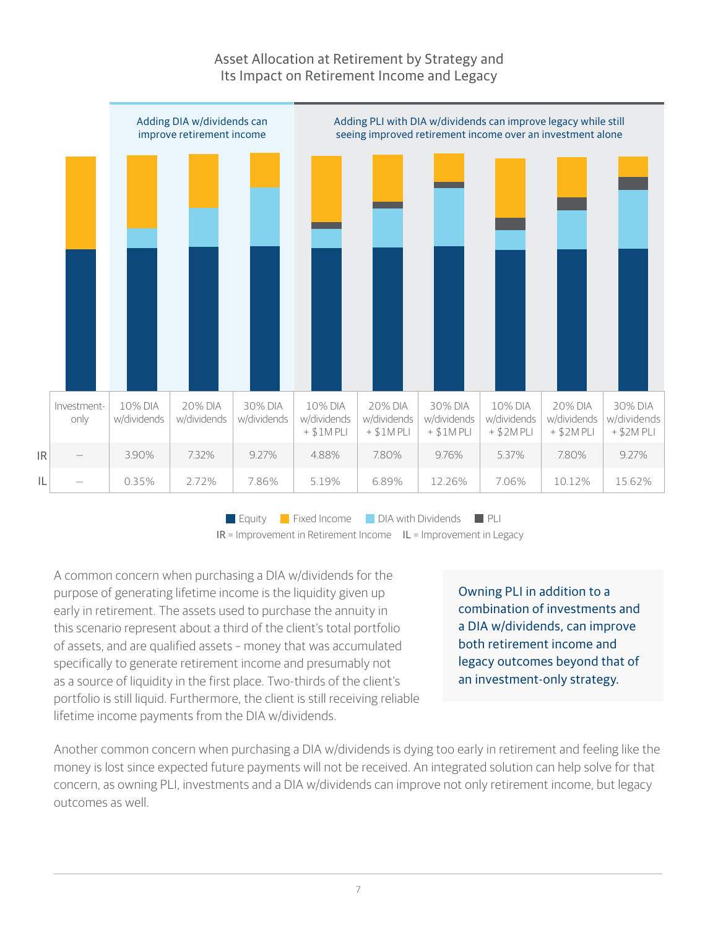#### Asset Allocation at Retirement by Strategy and Its Impact on Retirement Income and Legacy



**Equity Fixed Income DIA with Dividends PLI**  $IR =$  Improvement in Retirement Income  $IL =$  Improvement in Legacy

A common concern when purchasing a DIA w/dividends for the purpose of generating lifetime income is the liquidity given up early in retirement. The assets used to purchase the annuity in this scenario represent about a third of the client's total portfolio of assets, and are qualified assets – money that was accumulated specifically to generate retirement income and presumably not as a source of liquidity in the first place. Two-thirds of the client's portfolio is still liquid. Furthermore, the client is still receiving reliable lifetime income payments from the DIA w/dividends.

Owning PLI in addition to a combination of investments and a DIA w/dividends, can improve both retirement income and legacy outcomes beyond that of an investment-only strategy.

Another common concern when purchasing a DIA w/dividends is dying too early in retirement and feeling like the money is lost since expected future payments will not be received. An integrated solution can help solve for that concern, as owning PLI, investments and a DIA w/dividends can improve not only retirement income, but legacy outcomes as well.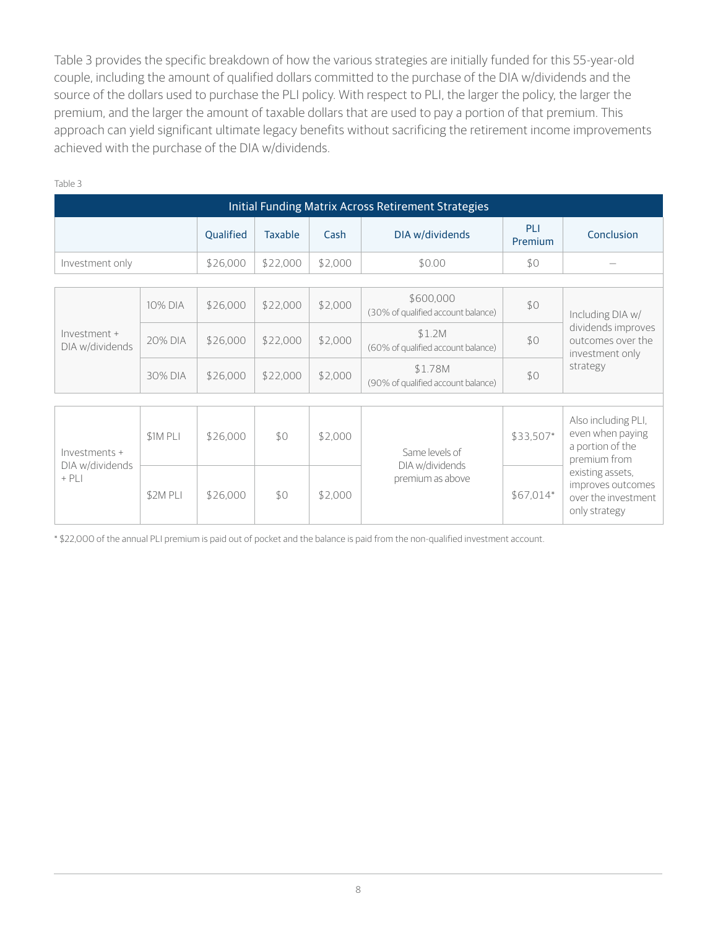Table 3 provides the specific breakdown of how the various strategies are initially funded for this 55-year-old couple, including the amount of qualified dollars committed to the purchase of the DIA w/dividends and the source of the dollars used to purchase the PLI policy. With respect to PLI, the larger the policy, the larger the premium, and the larger the amount of taxable dollars that are used to pay a portion of that premium. This approach can yield significant ultimate legacy benefits without sacrificing the retirement income improvements achieved with the purchase of the DIA w/dividends.

| Initial Funding Matrix Across Retirement Strategies |          |           |                |         |                                                 |                |                                                                                                                                                              |  |  |
|-----------------------------------------------------|----------|-----------|----------------|---------|-------------------------------------------------|----------------|--------------------------------------------------------------------------------------------------------------------------------------------------------------|--|--|
|                                                     |          | Qualified | <b>Taxable</b> | Cash    | DIA w/dividends                                 | PLI<br>Premium | Conclusion                                                                                                                                                   |  |  |
| Investment only                                     |          | \$26,000  | \$22,000       | \$2,000 | \$0.00                                          | \$0            |                                                                                                                                                              |  |  |
|                                                     |          |           |                |         |                                                 |                |                                                                                                                                                              |  |  |
| Investment +<br>DIA w/dividends                     | 10% DIA  | \$26,000  | \$22,000       | \$2,000 | \$600,000<br>(30% of qualified account balance) | \$0            | Including DIA w/<br>dividends improves<br>outcomes over the<br>investment only<br>strategy                                                                   |  |  |
|                                                     | 20% DIA  | \$26,000  | \$22,000       | \$2,000 | \$1.2M<br>(60% of qualified account balance)    | \$0            |                                                                                                                                                              |  |  |
|                                                     | 30% DIA  | \$26,000  | \$22,000       | \$2,000 | \$1.78M<br>(90% of qualified account balance)   | \$0            |                                                                                                                                                              |  |  |
|                                                     |          |           |                |         |                                                 |                |                                                                                                                                                              |  |  |
| Investments +<br>DIA w/dividends<br>$+$ PLI         | \$1M PLI | \$26,000  | \$0            | \$2,000 | Same levels of                                  | \$33,507*      | Also including PLI,<br>even when paying<br>a portion of the<br>premium from<br>existing assets,<br>improves outcomes<br>over the investment<br>only strategy |  |  |
|                                                     | \$2M PLI | \$26,000  | \$0            | \$2,000 | DIA w/dividends<br>premium as above             | \$67,014*      |                                                                                                                                                              |  |  |

Table 3

\* \$22,000 of the annual PLI premium is paid out of pocket and the balance is paid from the non-qualified investment account.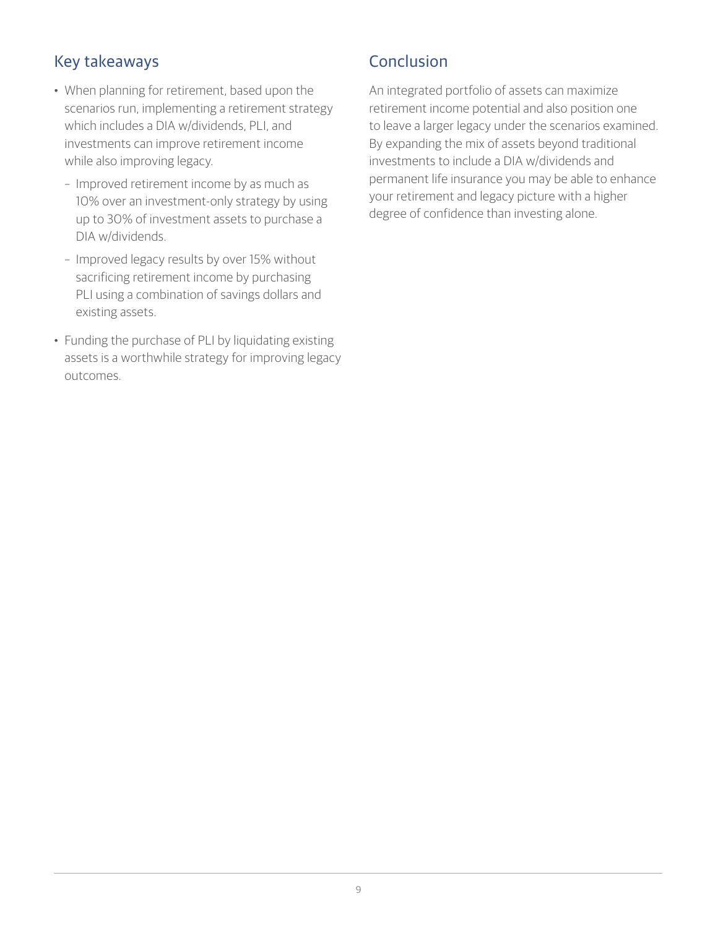# Key takeaways

- When planning for retirement, based upon the scenarios run, implementing a retirement strategy which includes a DIA w/dividends, PLI, and investments can improve retirement income while also improving legacy.
	- Improved retirement income by as much as 10% over an investment-only strategy by using up to 30% of investment assets to purchase a DIA w/dividends.
	- Improved legacy results by over 15% without sacrificing retirement income by purchasing PLI using a combination of savings dollars and existing assets.
- Funding the purchase of PLI by liquidating existing assets is a worthwhile strategy for improving legacy outcomes.

### Conclusion

An integrated portfolio of assets can maximize retirement income potential and also position one to leave a larger legacy under the scenarios examined. By expanding the mix of assets beyond traditional investments to include a DIA w/dividends and permanent life insurance you may be able to enhance your retirement and legacy picture with a higher degree of confidence than investing alone.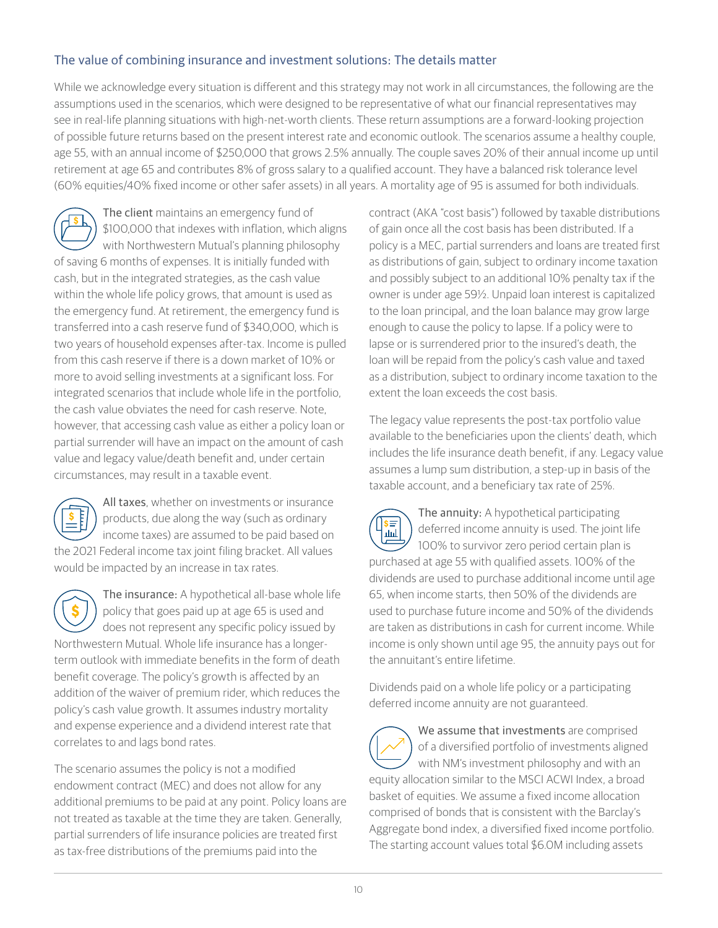#### The value of combining insurance and investment solutions: The details matter

While we acknowledge every situation is different and this strategy may not work in all circumstances, the following are the assumptions used in the scenarios, which were designed to be representative of what our financial representatives may see in real-life planning situations with high-net-worth clients. These return assumptions are a forward-looking projection of possible future returns based on the present interest rate and economic outlook. The scenarios assume a healthy couple, age 55, with an annual income of \$250,000 that grows 2.5% annually. The couple saves 20% of their annual income up until retirement at age 65 and contributes 8% of gross salary to a qualified account. They have a balanced risk tolerance level (60% equities/40% fixed income or other safer assets) in all years. A mortality age of 95 is assumed for both individuals.

The client maintains an emergency fund of \$100,000 that indexes with inflation, which aligns with Northwestern Mutual's planning philosophy of saving 6 months of expenses. It is initially funded with cash, but in the integrated strategies, as the cash value within the whole life policy grows, that amount is used as the emergency fund. At retirement, the emergency fund is transferred into a cash reserve fund of \$340,000, which is two years of household expenses after-tax. Income is pulled from this cash reserve if there is a down market of 10% or more to avoid selling investments at a significant loss. For integrated scenarios that include whole life in the portfolio, the cash value obviates the need for cash reserve. Note, however, that accessing cash value as either a policy loan or partial surrender will have an impact on the amount of cash value and legacy value/death benefit and, under certain circumstances, may result in a taxable event.



All taxes, whether on investments or insurance products, due along the way (such as ordinary income taxes) are assumed to be paid based on the 2021 Federal income tax joint filing bracket. All values would be impacted by an increase in tax rates.

The insurance: A hypothetical all-base whole life policy that goes paid up at age 65 is used and does not represent any specific policy issued by Northwestern Mutual. Whole life insurance has a longerterm outlook with immediate benefits in the form of death benefit coverage. The policy's growth is affected by an addition of the waiver of premium rider, which reduces the policy's cash value growth. It assumes industry mortality and expense experience and a dividend interest rate that correlates to and lags bond rates.

The scenario assumes the policy is not a modified endowment contract (MEC) and does not allow for any additional premiums to be paid at any point. Policy loans are not treated as taxable at the time they are taken. Generally, partial surrenders of life insurance policies are treated first as tax-free distributions of the premiums paid into the

contract (AKA "cost basis") followed by taxable distributions of gain once all the cost basis has been distributed. If a policy is a MEC, partial surrenders and loans are treated first as distributions of gain, subject to ordinary income taxation and possibly subject to an additional 10% penalty tax if the owner is under age 59½. Unpaid loan interest is capitalized to the loan principal, and the loan balance may grow large enough to cause the policy to lapse. If a policy were to lapse or is surrendered prior to the insured's death, the loan will be repaid from the policy's cash value and taxed as a distribution, subject to ordinary income taxation to the extent the loan exceeds the cost basis.

The legacy value represents the post-tax portfolio value available to the beneficiaries upon the clients' death, which includes the life insurance death benefit, if any. Legacy value assumes a lump sum distribution, a step-up in basis of the taxable account, and a beneficiary tax rate of 25%.

The annuity: A hypothetical participating ls≡ deferred income annuity is used. The joint life لسر 100% to survivor zero period certain plan is purchased at age 55 with qualified assets. 100% of the dividends are used to purchase additional income until age 65, when income starts, then 50% of the dividends are used to purchase future income and 50% of the dividends are taken as distributions in cash for current income. While income is only shown until age 95, the annuity pays out for the annuitant's entire lifetime.

Dividends paid on a whole life policy or a participating deferred income annuity are not guaranteed.

We assume that investments are comprised of a diversified portfolio of investments aligned with NM's investment philosophy and with an equity allocation similar to the MSCI ACWI Index, a broad basket of equities. We assume a fixed income allocation comprised of bonds that is consistent with the Barclay's Aggregate bond index, a diversified fixed income portfolio. The starting account values total \$6.0M including assets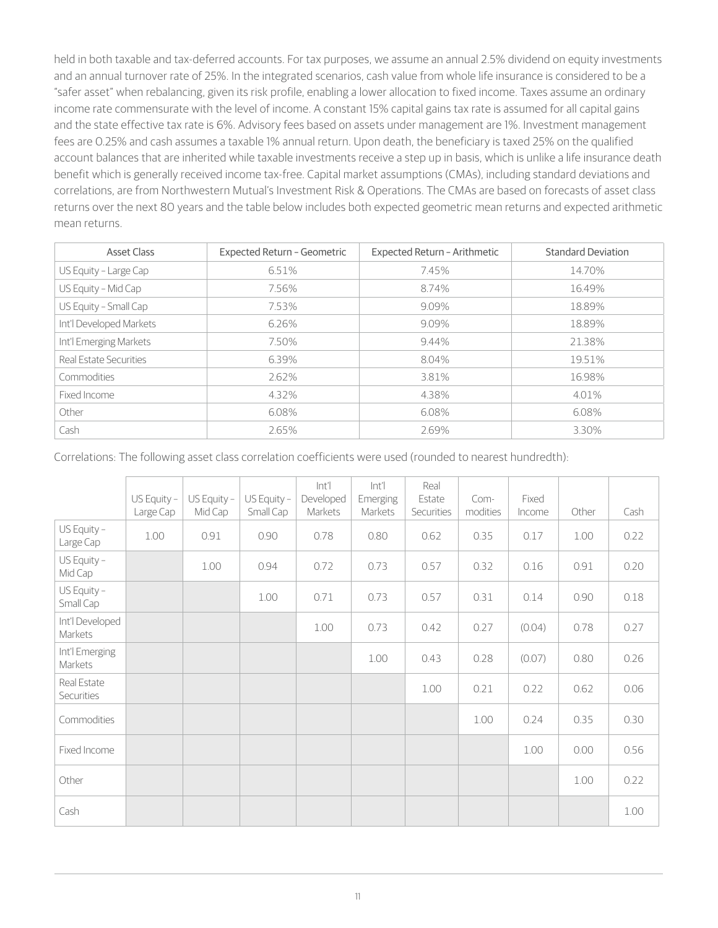held in both taxable and tax-deferred accounts. For tax purposes, we assume an annual 2.5% dividend on equity investments and an annual turnover rate of 25%. In the integrated scenarios, cash value from whole life insurance is considered to be a "safer asset" when rebalancing, given its risk profile, enabling a lower allocation to fixed income. Taxes assume an ordinary income rate commensurate with the level of income. A constant 15% capital gains tax rate is assumed for all capital gains and the state effective tax rate is 6%. Advisory fees based on assets under management are 1%. Investment management fees are 0.25% and cash assumes a taxable 1% annual return. Upon death, the beneficiary is taxed 25% on the qualified account balances that are inherited while taxable investments receive a step up in basis, which is unlike a life insurance death benefit which is generally received income tax-free. Capital market assumptions (CMAs), including standard deviations and correlations, are from Northwestern Mutual's Investment Risk & Operations. The CMAs are based on forecasts of asset class returns over the next 80 years and the table below includes both expected geometric mean returns and expected arithmetic mean returns.

| <b>Asset Class</b>      | <b>Expected Return - Geometric</b> | Expected Return - Arithmetic | <b>Standard Deviation</b> |
|-------------------------|------------------------------------|------------------------------|---------------------------|
| US Equity - Large Cap   | 6.51%                              | 7.45%                        | 14.70%                    |
| US Equity - Mid Cap     | 7.56%                              | 8.74%                        | 16.49%                    |
| US Equity - Small Cap   | 7.53%                              | 9.09%                        | 18.89%                    |
| Int'l Developed Markets | 6.26%                              | 9.09%                        | 18.89%                    |
| Int'l Emerging Markets  | 7.50%                              | 9.44%                        | 21.38%                    |
| Real Estate Securities  | 6.39%                              | 8.04%                        | 19.51%                    |
| Commodities             | 2.62%                              | 3.81%                        | 16.98%                    |
| Fixed Income            | 4.32%                              | 4.38%                        | 4.01%                     |
| Other                   | 6.08%                              | 6.08%                        | 6.08%                     |
| Cash                    | 2.65%                              | 2.69%                        | 3.30%                     |

Correlations: The following asset class correlation coefficients were used (rounded to nearest hundredth):

|                            | $US$ Equity -<br>Large Cap | $US$ Equity -<br>Mid Cap | US Equity -<br>Small Cap | Int <sup>'</sup><br>Developed<br>Markets | $\left  \right $<br>Emerging<br>Markets | Real<br>Estate<br>Securities | Com-<br>modities | Fixed<br>Income | Other | Cash |
|----------------------------|----------------------------|--------------------------|--------------------------|------------------------------------------|-----------------------------------------|------------------------------|------------------|-----------------|-------|------|
| US Equity -<br>Large Cap   | 1.00                       | 0.91                     | 0.90                     | 0.78                                     | 0.80                                    | 0.62                         | 0.35             | 0.17            | 1.00  | 0.22 |
| US Equity -<br>Mid Cap     |                            | 1.00                     | 0.94                     | 0.72                                     | 0.73                                    | 0.57                         | 0.32             | 0.16            | 0.91  | 0.20 |
| US Equity -<br>Small Cap   |                            |                          | 1.00                     | 0.71                                     | 0.73                                    | 0.57                         | 0.31             | 0.14            | 0.90  | 0.18 |
| Int'l Developed<br>Markets |                            |                          |                          | 1.00                                     | 0.73                                    | 0.42                         | 0.27             | (0.04)          | 0.78  | 0.27 |
| Int'l Emerging<br>Markets  |                            |                          |                          |                                          | 1.00                                    | 0.43                         | 0.28             | (0.07)          | 0.80  | 0.26 |
| Real Estate<br>Securities  |                            |                          |                          |                                          |                                         | 1.00                         | 0.21             | 0.22            | 0.62  | 0.06 |
| Commodities                |                            |                          |                          |                                          |                                         |                              | 1.00             | 0.24            | 0.35  | 0.30 |
| Fixed Income               |                            |                          |                          |                                          |                                         |                              |                  | 1.00            | 0.00  | 0.56 |
| Other                      |                            |                          |                          |                                          |                                         |                              |                  |                 | 1.00  | 0.22 |
| Cash                       |                            |                          |                          |                                          |                                         |                              |                  |                 |       | 1.00 |